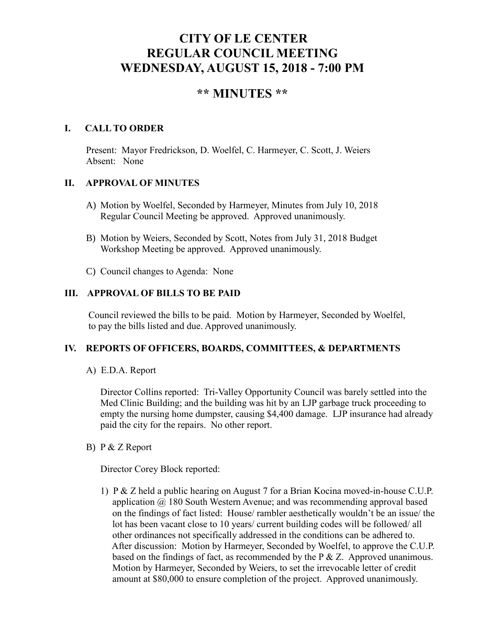# **CITY OF LE CENTER REGULAR COUNCIL MEETING WEDNESDAY, AUGUST 15, 2018 - 7:00 PM**

# **\*\* MINUTES \*\***

## **I. CALL TO ORDER**

Present: Mayor Fredrickson, D. Woelfel, C. Harmeyer, C. Scott, J. Weiers Absent: None

### **II. APPROVAL OF MINUTES**

- A) Motion by Woelfel, Seconded by Harmeyer, Minutes from July 10, 2018 Regular Council Meeting be approved. Approved unanimously.
- B) Motion by Weiers, Seconded by Scott, Notes from July 31, 2018 Budget Workshop Meeting be approved. Approved unanimously.
- C) Council changes to Agenda: None

## **III. APPROVAL OF BILLS TO BE PAID**

Council reviewed the bills to be paid. Motion by Harmeyer, Seconded by Woelfel, to pay the bills listed and due. Approved unanimously.

#### **IV. REPORTS OF OFFICERS, BOARDS, COMMITTEES, & DEPARTMENTS**

A) E.D.A. Report

 Director Collins reported: Tri-Valley Opportunity Council was barely settled into the Med Clinic Building; and the building was hit by an LJP garbage truck proceeding to empty the nursing home dumpster, causing \$4,400 damage. LJP insurance had already paid the city for the repairs. No other report.

B) P & Z Report

Director Corey Block reported:

1) P & Z held a public hearing on August 7 for a Brian Kocina moved-in-house C.U.P. application  $\omega$  180 South Western Avenue; and was recommending approval based on the findings of fact listed: House/ rambler aesthetically wouldn't be an issue/ the lot has been vacant close to 10 years/ current building codes will be followed/ all other ordinances not specifically addressed in the conditions can be adhered to. After discussion: Motion by Harmeyer, Seconded by Woelfel, to approve the C.U.P. based on the findings of fact, as recommended by the  $P \& Z$ . Approved unanimous. Motion by Harmeyer, Seconded by Weiers, to set the irrevocable letter of credit amount at \$80,000 to ensure completion of the project. Approved unanimously.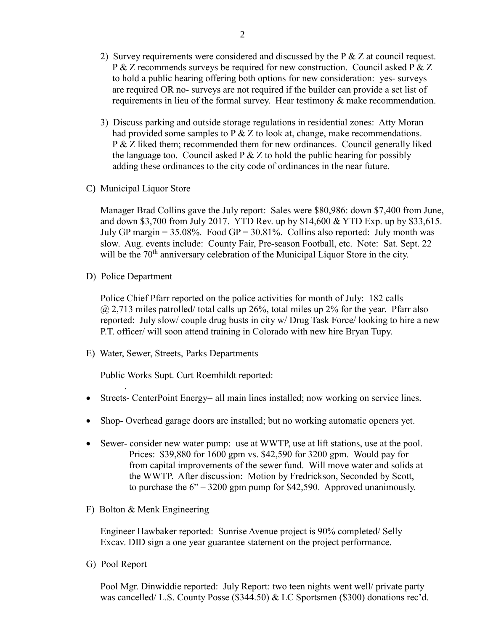- 2) Survey requirements were considered and discussed by the P & Z at council request. P & Z recommends surveys be required for new construction. Council asked P & Z to hold a public hearing offering both options for new consideration: yes- surveys are required OR no- surveys are not required if the builder can provide a set list of requirements in lieu of the formal survey. Hear testimony & make recommendation.
- 3) Discuss parking and outside storage regulations in residential zones: Atty Moran had provided some samples to P  $\&$  Z to look at, change, make recommendations. P & Z liked them; recommended them for new ordinances. Council generally liked the language too. Council asked  $P \& Z$  to hold the public hearing for possibly adding these ordinances to the city code of ordinances in the near future.
- C) Municipal Liquor Store

Manager Brad Collins gave the July report: Sales were \$80,986: down \$7,400 from June, and down \$3,700 from July 2017. YTD Rev. up by \$14,600 & YTD Exp. up by \$33,615. July GP margin =  $35.08\%$ . Food GP =  $30.81\%$ . Collins also reported: July month was slow. Aug. events include: County Fair, Pre-season Football, etc. Note: Sat. Sept. 22 will be the 70<sup>th</sup> anniversary celebration of the Municipal Liquor Store in the city.

D) Police Department

.

Police Chief Pfarr reported on the police activities for month of July: 182 calls  $\omega$  2,713 miles patrolled/ total calls up 26%, total miles up 2% for the year. Pfarr also reported: July slow/ couple drug busts in city w/ Drug Task Force/ looking to hire a new P.T. officer/ will soon attend training in Colorado with new hire Bryan Tupy.

E) Water, Sewer, Streets, Parks Departments

Public Works Supt. Curt Roemhildt reported:

- Streets- CenterPoint Energy = all main lines installed; now working on service lines.
- Shop- Overhead garage doors are installed; but no working automatic openers yet.
- Sewer- consider new water pump: use at WWTP, use at lift stations, use at the pool. Prices: \$39,880 for 1600 gpm vs. \$42,590 for 3200 gpm. Would pay for from capital improvements of the sewer fund. Will move water and solids at the WWTP. After discussion: Motion by Fredrickson, Seconded by Scott, to purchase the  $6" - 3200$  gpm pump for \$42,590. Approved unanimously.
- F) Bolton & Menk Engineering

 Engineer Hawbaker reported: Sunrise Avenue project is 90% completed/ Selly Excav. DID sign a one year guarantee statement on the project performance.

G) Pool Report

 Pool Mgr. Dinwiddie reported: July Report: two teen nights went well/ private party was cancelled/ L.S. County Posse (\$344.50) & LC Sportsmen (\$300) donations rec'd.